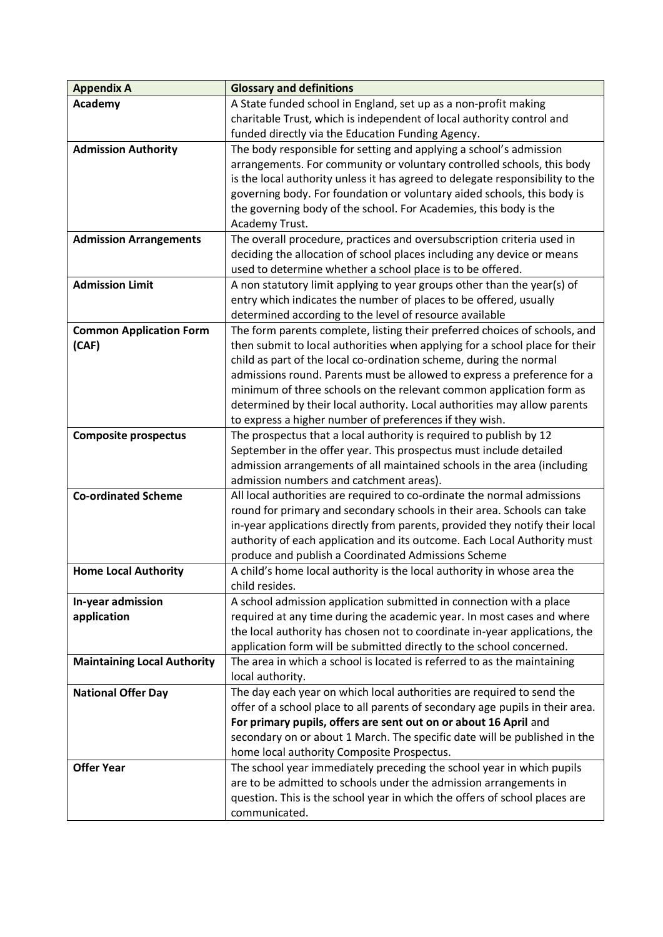| <b>Appendix A</b>                  | <b>Glossary and definitions</b>                                                                                    |
|------------------------------------|--------------------------------------------------------------------------------------------------------------------|
| Academy                            | A State funded school in England, set up as a non-profit making                                                    |
|                                    | charitable Trust, which is independent of local authority control and                                              |
|                                    | funded directly via the Education Funding Agency.                                                                  |
| <b>Admission Authority</b>         | The body responsible for setting and applying a school's admission                                                 |
|                                    | arrangements. For community or voluntary controlled schools, this body                                             |
|                                    | is the local authority unless it has agreed to delegate responsibility to the                                      |
|                                    | governing body. For foundation or voluntary aided schools, this body is                                            |
|                                    | the governing body of the school. For Academies, this body is the                                                  |
|                                    | Academy Trust.                                                                                                     |
| <b>Admission Arrangements</b>      | The overall procedure, practices and oversubscription criteria used in                                             |
|                                    | deciding the allocation of school places including any device or means                                             |
|                                    | used to determine whether a school place is to be offered.                                                         |
| <b>Admission Limit</b>             | A non statutory limit applying to year groups other than the year(s) of                                            |
|                                    | entry which indicates the number of places to be offered, usually                                                  |
|                                    | determined according to the level of resource available                                                            |
| <b>Common Application Form</b>     | The form parents complete, listing their preferred choices of schools, and                                         |
| (CAF)                              | then submit to local authorities when applying for a school place for their                                        |
|                                    | child as part of the local co-ordination scheme, during the normal                                                 |
|                                    | admissions round. Parents must be allowed to express a preference for a                                            |
|                                    | minimum of three schools on the relevant common application form as                                                |
|                                    | determined by their local authority. Local authorities may allow parents                                           |
|                                    | to express a higher number of preferences if they wish.                                                            |
| <b>Composite prospectus</b>        | The prospectus that a local authority is required to publish by 12                                                 |
|                                    | September in the offer year. This prospectus must include detailed                                                 |
|                                    | admission arrangements of all maintained schools in the area (including<br>admission numbers and catchment areas). |
| <b>Co-ordinated Scheme</b>         | All local authorities are required to co-ordinate the normal admissions                                            |
|                                    | round for primary and secondary schools in their area. Schools can take                                            |
|                                    | in-year applications directly from parents, provided they notify their local                                       |
|                                    | authority of each application and its outcome. Each Local Authority must                                           |
|                                    | produce and publish a Coordinated Admissions Scheme                                                                |
| <b>Home Local Authority</b>        | A child's home local authority is the local authority in whose area the                                            |
|                                    | child resides.                                                                                                     |
| In-year admission                  | A school admission application submitted in connection with a place                                                |
| application                        | required at any time during the academic year. In most cases and where                                             |
|                                    | the local authority has chosen not to coordinate in-year applications, the                                         |
|                                    | application form will be submitted directly to the school concerned.                                               |
| <b>Maintaining Local Authority</b> | The area in which a school is located is referred to as the maintaining                                            |
|                                    | local authority.                                                                                                   |
| <b>National Offer Day</b>          | The day each year on which local authorities are required to send the                                              |
|                                    | offer of a school place to all parents of secondary age pupils in their area.                                      |
|                                    | For primary pupils, offers are sent out on or about 16 April and                                                   |
|                                    | secondary on or about 1 March. The specific date will be published in the                                          |
|                                    | home local authority Composite Prospectus.                                                                         |
| <b>Offer Year</b>                  | The school year immediately preceding the school year in which pupils                                              |
|                                    | are to be admitted to schools under the admission arrangements in                                                  |
|                                    | question. This is the school year in which the offers of school places are                                         |
|                                    | communicated.                                                                                                      |